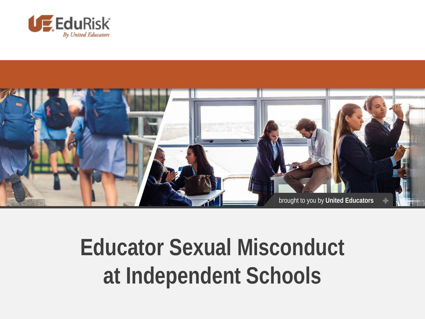



#### **Educator Sexual Misconduct at Independent Schools**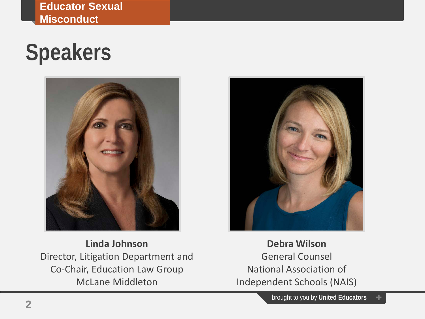**Educator Sexual Misconduct**

#### **Speakers**



**Linda Johnson** Director, Litigation Department and Co-Chair, Education Law Group McLane Middleton



**Debra Wilson** General Counsel National Association of Independent Schools (NAIS)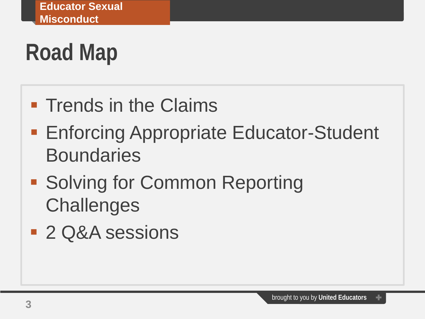# **Road Map**

- **Trends in the Claims**
- **Enforcing Appropriate Educator-Student Boundaries**
- **Solving for Common Reporting Challenges**
- 2 Q&A sessions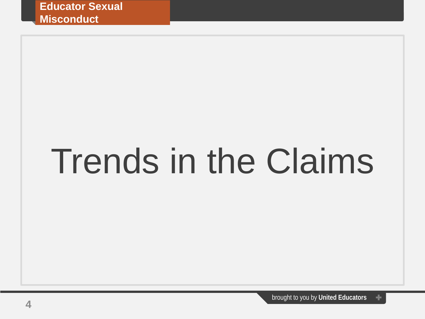# Trends in the Claims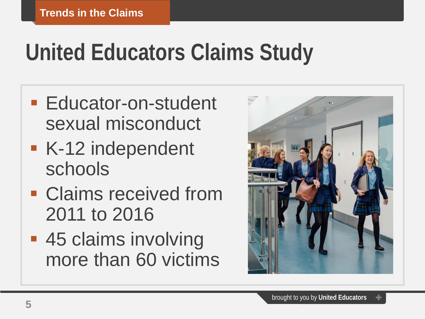# **United Educators Claims Study**

- **Educator-on-student** sexual misconduct
- K-12 independent schools
- **Claims received from** 2011 to 2016
- **45 claims involving** more than 60 victims

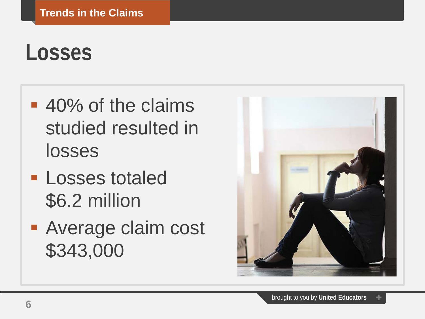#### **Losses**

- 40% of the claims studied resulted in losses
- **Losses totaled** \$6.2 million
- **Average claim cost** \$343,000

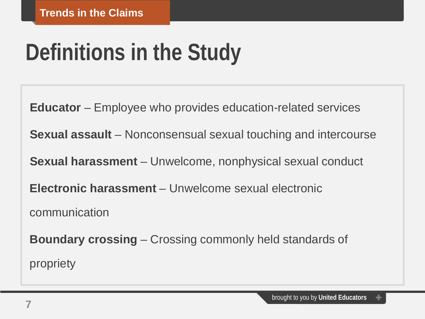# **Definitions in the Study**

**Educator** – Employee who provides education-related services

**Sexual assault** – Nonconsensual sexual touching and intercourse

**Sexual harassment** – Unwelcome, nonphysical sexual conduct

**Electronic harassment** – Unwelcome sexual electronic

communication

**Boundary crossing** – Crossing commonly held standards of propriety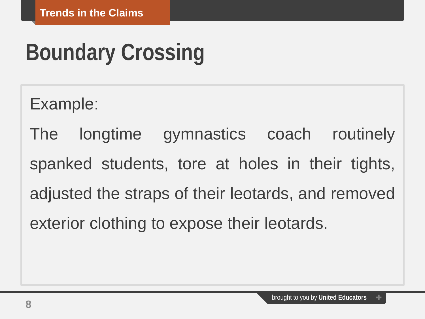# **Boundary Crossing**

Example:

The longtime gymnastics coach routinely spanked students, tore at holes in their tights, adjusted the straps of their leotards, and removed exterior clothing to expose their leotards.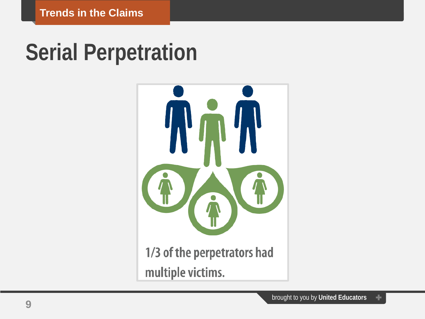#### **Serial Perpetration**



1/3 of the perpetrators had multiple victims.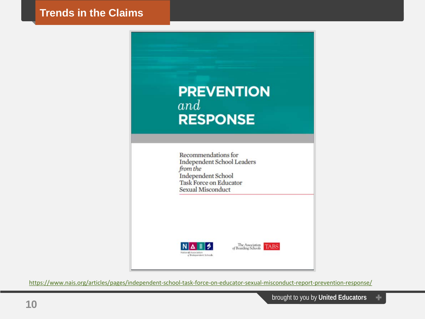

<https://www.nais.org/articles/pages/independent-school-task-force-on-educator-sexual-misconduct-report-prevention-response/>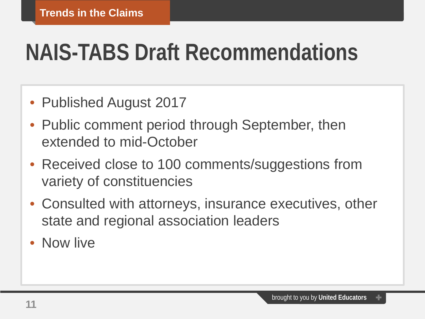### **NAIS-TABS Draft Recommendations**

- Published August 2017
- Public comment period through September, then extended to mid-October
- Received close to 100 comments/suggestions from variety of constituencies
- Consulted with attorneys, insurance executives, other state and regional association leaders
- Now live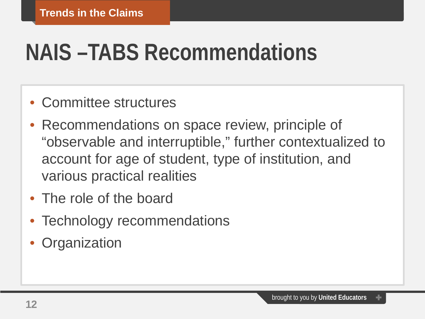# **NAIS –TABS Recommendations**

- Committee structures
- Recommendations on space review, principle of "observable and interruptible," further contextualized to account for age of student, type of institution, and various practical realities
- The role of the board
- Technology recommendations
- **Organization**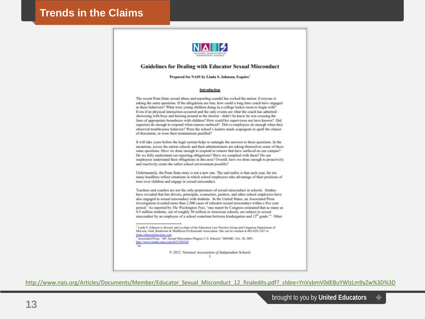

#### **Guidelines for Dealing with Educator Sexual Misconduct**

#### Prepared for NAIS by Linda S. Johnson, Esquire<sup>1</sup>

#### Introduction

The recent Penn State sexual abuse and reporting scandal has rocked the nation. Everyone is asking the same questions. If the allegations are true, how could a long time coach have engaged in these behaviors? What were young children doing in a college locker room to begin with? Even if no physical interaction occurred and the only events are what the coach has admitted showering with boys and horsing around in the shower - didn't he know he was crossing the lines of appropriate boundaries with children? How could his supervisors not have known? Did superiors do enough to respond when rumors surfaced? Did co-employees do enough when they observed troublesome behavior? Were the school's leaders made scapegoats to quell the clamor of discontent, or were their terminations justified?

It will take years before the legal system helps to untangle the answers to these questions. In the meantime, across the nation schools and their administrators are asking themselves some of these same questions. Have we done enough to respond to rumors that have surfaced on our campus? Do we fully understand our reporting obligations? Have we complied with them? Do our employees understand their obligations in this area? Overall, have we done enough to proactively and reactively create the safest school environment possible?

Unfortunately, the Penn State story is not a new one. The sad reality is that each year, far too many headlines reflect situations in which school employees take advantage of their positions of trust over children and engage in sexual misconduct.

Teachers and coaches are not the only perpetrators of sexual misconduct in schools. Studies have revealed that bus drivers, principals, counselors, janitors, and other school employees have also engaged in sexual misconduct with students. In the United States, an Associated Press investigation revealed more than 2,500 cases of educator sexual misconduct within a five year period.<sup>2</sup> As reported by The Washington Post, "one report by Congress estimated that as many as 4.5 million students, out of roughly 50 million in American schools, are subject to sexual misconduct by an employee of a school sometime between kindergarten and 12<sup>th</sup> grade."<sup>1</sup> Other

Associated Press, "AP: Sexual Misconduct Plagues U.S. Schools," MSNBC, Oct. 20, 2007, http://www.manbe.man.com/id/21392345.

C 2012, National Association of Independent Schools  $\cdot$ 

[http://www.nais.org/Articles/Documents/Member/Educator\\_Sexual\\_Misconduct\\_12\\_finaledits.pdf?\\_cldee=YnVybmV0dEBuYWlzLm9yZw%3D%3D](http://www.nais.org/Articles/Documents/Member/Educator_Sexual_Misconduct_12_finaledits.pdf?_cldee=YnVybmV0dEBuYWlzLm9yZw%3D%3D)

<sup>&</sup>lt;sup>1</sup> Linda S. Johnson is director and co-chair of the Education Law Practice Group and Litigation Department of McLane, Graf, Raulerson & Middleton Professional Association. She can be reached at 603-628-1267 or linda johnsomilmelane.com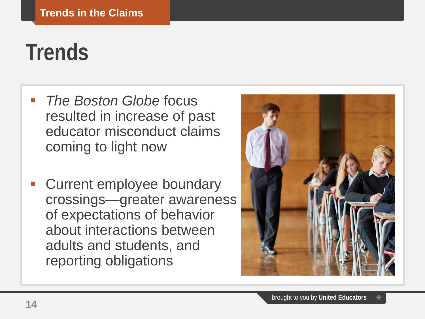#### **Trends**

- *The Boston Globe* focus resulted in increase of past educator misconduct claims coming to light now
- Current employee boundary crossings—greater awareness of expectations of behavior about interactions between adults and students, and reporting obligations

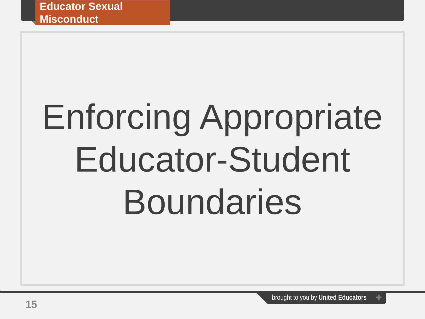# Enforcing Appropriate Educator-Student **Boundaries**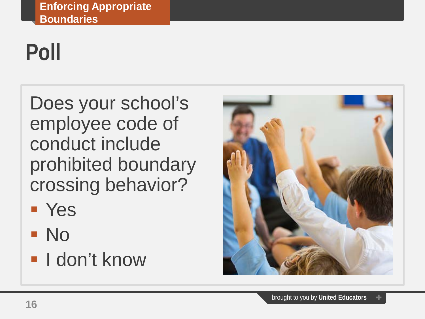# **Poll**

Does your school's employee code of conduct include prohibited boundary crossing behavior?

- Yes
- No
- **I** don't know

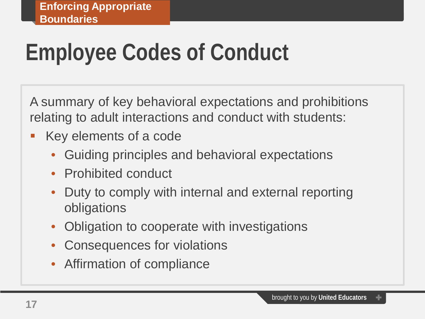# **Employee Codes of Conduct**

A summary of key behavioral expectations and prohibitions relating to adult interactions and conduct with students:

- **Key elements of a code** 
	- Guiding principles and behavioral expectations
	- Prohibited conduct
	- Duty to comply with internal and external reporting obligations
	- Obligation to cooperate with investigations
	- Consequences for violations
	- Affirmation of compliance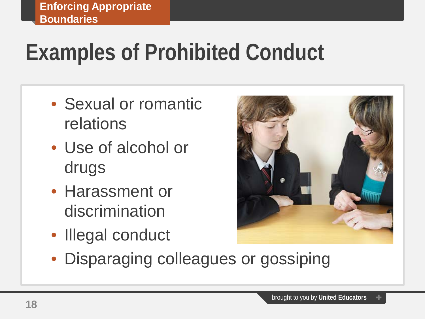# **Examples of Prohibited Conduct**

- Sexual or romantic relations
- Use of alcohol or drugs
- Harassment or discrimination
- Illegal conduct



• Disparaging colleagues or gossiping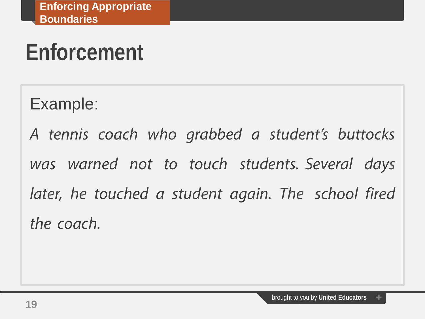# **Enforcement**

Example:

*A tennis coach who grabbed a student's buttocks was warned not to touch students. Several days later, he touched a student again. The school fired the coach.*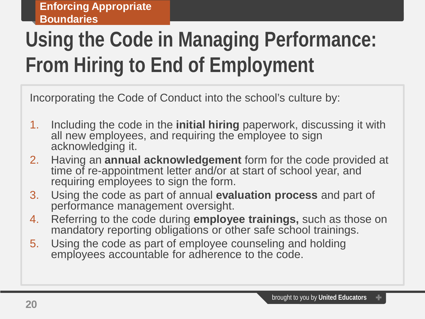#### **Using the Code in Managing Performance: From Hiring to End of Employment**

Incorporating the Code of Conduct into the school's culture by:

- 1. Including the code in the **initial hiring** paperwork, discussing it with all new employees, and requiring the employee to sign acknowledging it.
- 2. Having an **annual acknowledgement** form for the code provided at time of re-appointment letter and/or at start of school year, and requiring employees to sign the form.
- 3. Using the code as part of annual **evaluation process** and part of performance management oversight.
- 4. Referring to the code during **employee trainings,** such as those on mandatory reporting obligations or other safe school trainings.
- 5. Using the code as part of employee counseling and holding employees accountable for adherence to the code.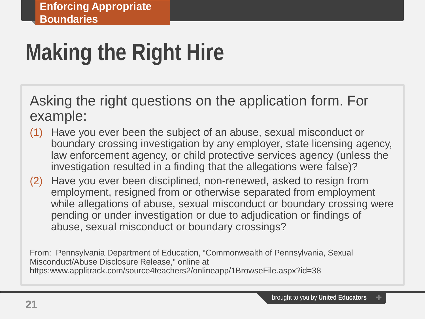# **Making the Right Hire**

Asking the right questions on the application form. For example:

- (1) Have you ever been the subject of an abuse, sexual misconduct or boundary crossing investigation by any employer, state licensing agency, law enforcement agency, or child protective services agency (unless the investigation resulted in a finding that the allegations were false)?
- (2) Have you ever been disciplined, non-renewed, asked to resign from employment, resigned from or otherwise separated from employment while allegations of abuse, sexual misconduct or boundary crossing were pending or under investigation or due to adjudication or findings of abuse, sexual misconduct or boundary crossings?

From: Pennsylvania Department of Education, "Commonwealth of Pennsylvania, Sexual Misconduct/Abuse Disclosure Release," online at https:www.applitrack.com/source4teachers2/onlineapp/1BrowseFile.aspx?id=38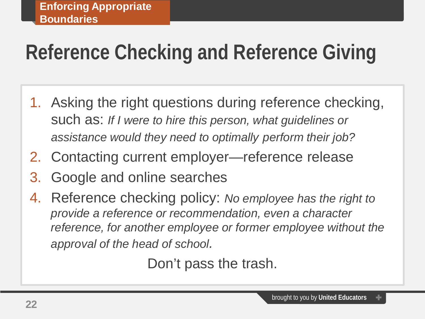#### **Reference Checking and Reference Giving**

- 1. Asking the right questions during reference checking, such as: *If I were to hire this person, what guidelines or assistance would they need to optimally perform their job?*
- 2. Contacting current employer—reference release
- 3. Google and online searches
- 4. Reference checking policy: *No employee has the right to provide a reference or recommendation, even a character reference, for another employee or former employee without the approval of the head of school.*

Don't pass the trash.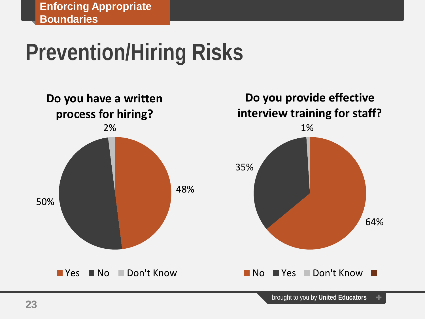### **Prevention/Hiring Risks**

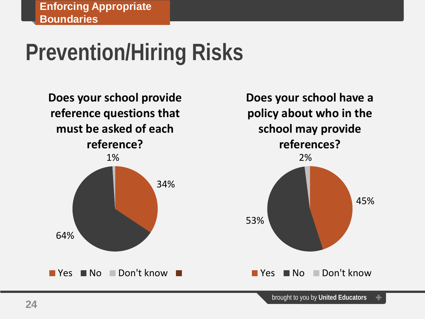### **Prevention/Hiring Risks**

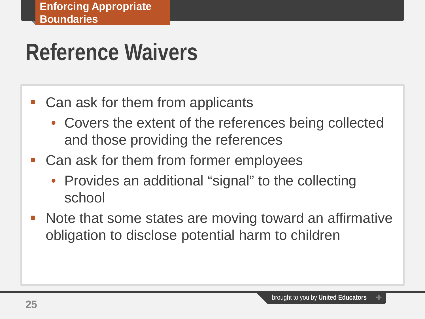#### **Reference Waivers**

- Can ask for them from applicants
	- Covers the extent of the references being collected and those providing the references
- Can ask for them from former employees
	- Provides an additional "signal" to the collecting school
- Note that some states are moving toward an affirmative obligation to disclose potential harm to children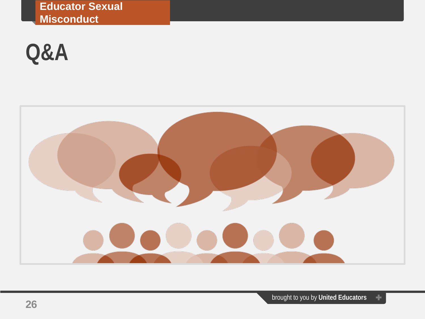**Educator Sexual Misconduct**

#### **Q&A**

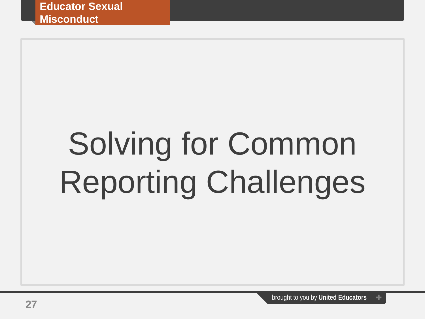# Solving for Common Reporting Challenges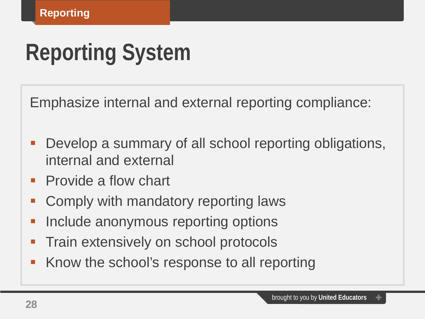# **Reporting System**

Emphasize internal and external reporting compliance:

- Develop a summary of all school reporting obligations, internal and external
- Provide a flow chart
- Comply with mandatory reporting laws
- Include anonymous reporting options
- Train extensively on school protocols
- Know the school's response to all reporting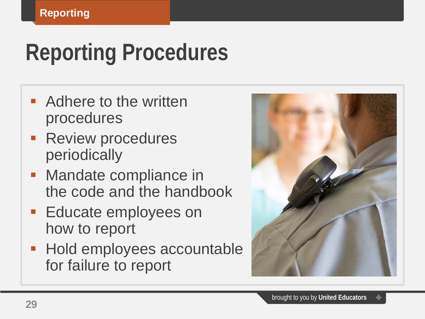# **Reporting Procedures**

- **Adhere to the written** procedures
- **Review procedures** periodically
- **Mandate compliance in** the code and the handbook
- **Educate employees on** how to report
- **Hold employees accountable** for failure to report

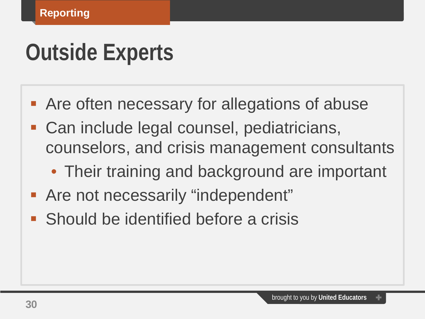### **Outside Experts**

- **Are often necessary for allegations of abuse**
- Can include legal counsel, pediatricians, counselors, and crisis management consultants
	- Their training and background are important
- **Are not necessarily "independent"**
- Should be identified before a crisis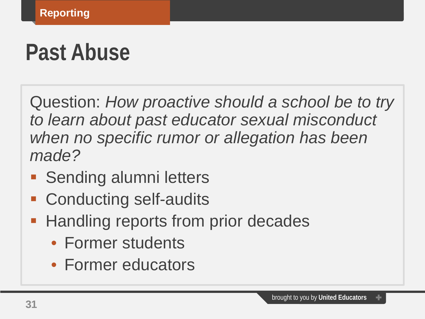#### **Past Abuse**

Question: *How proactive should a school be to try to learn about past educator sexual misconduct when no specific rumor or allegation has been made?*

- **Sending alumni letters**
- Conducting self-audits
- **Handling reports from prior decades** 
	- Former students
	- Former educators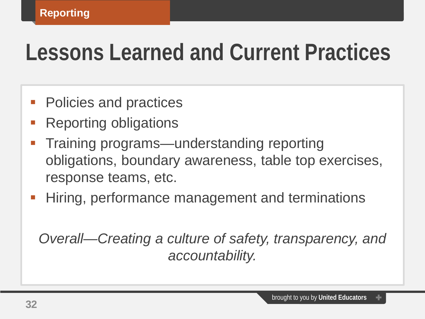#### **Lessons Learned and Current Practices**

- Policies and practices
- Reporting obligations
- Training programs—understanding reporting obligations, boundary awareness, table top exercises, response teams, etc.
- Hiring, performance management and terminations

*Overall—Creating a culture of safety, transparency, and accountability.*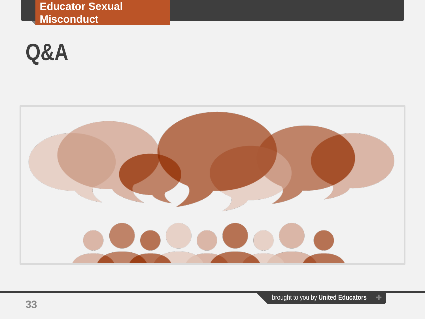**Educator Sexual Misconduct**

#### **Q&A**